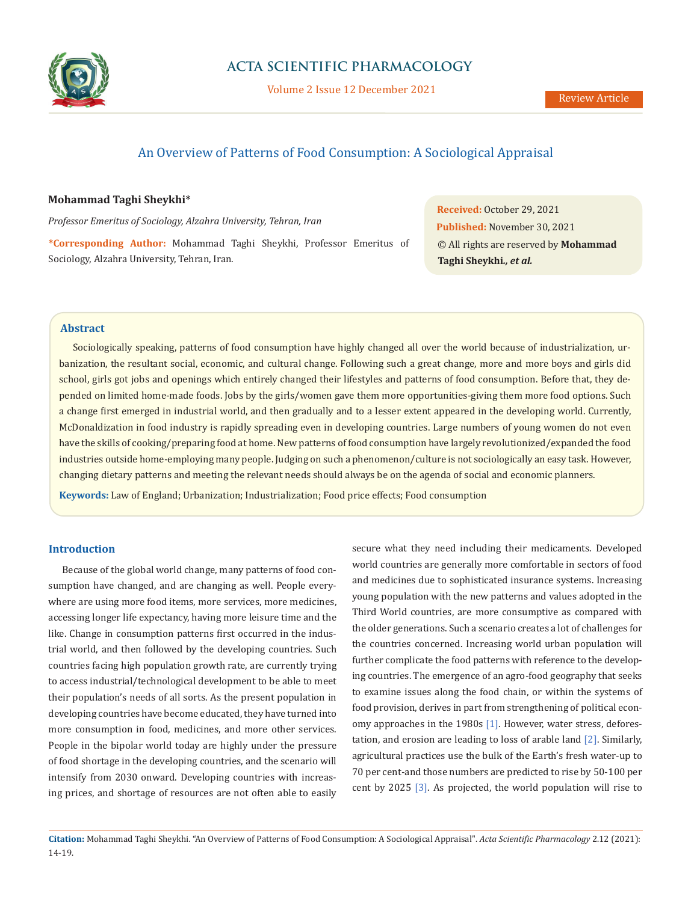

Volume 2 Issue 12 December 2021

# An Overview of Patterns of Food Consumption: A Sociological Appraisal

### **Mohammad Taghi Sheykhi\***

*Professor Emeritus of Sociology, Alzahra University, Tehran, Iran* 

**\*Corresponding Author:** Mohammad Taghi Sheykhi, Professor Emeritus of Sociology, Alzahra University, Tehran, Iran.

**Received:** October 29, 2021 **Published:** November 30, 2021 © All rights are reserved by **Mohammad Taghi Sheykhi***., et al.*

### **Abstract**

Sociologically speaking, patterns of food consumption have highly changed all over the world because of industrialization, urbanization, the resultant social, economic, and cultural change. Following such a great change, more and more boys and girls did school, girls got jobs and openings which entirely changed their lifestyles and patterns of food consumption. Before that, they depended on limited home-made foods. Jobs by the girls/women gave them more opportunities-giving them more food options. Such a change first emerged in industrial world, and then gradually and to a lesser extent appeared in the developing world. Currently, McDonaldization in food industry is rapidly spreading even in developing countries. Large numbers of young women do not even have the skills of cooking/preparing food at home. New patterns of food consumption have largely revolutionized/expanded the food industries outside home-employing many people. Judging on such a phenomenon/culture is not sociologically an easy task. However, changing dietary patterns and meeting the relevant needs should always be on the agenda of social and economic planners.

**Keywords:** Law of England; Urbanization; Industrialization; Food price effects; Food consumption

#### **Introduction**

Because of the global world change, many patterns of food consumption have changed, and are changing as well. People everywhere are using more food items, more services, more medicines, accessing longer life expectancy, having more leisure time and the like. Change in consumption patterns first occurred in the industrial world, and then followed by the developing countries. Such countries facing high population growth rate, are currently trying to access industrial/technological development to be able to meet their population's needs of all sorts. As the present population in developing countries have become educated, they have turned into more consumption in food, medicines, and more other services. People in the bipolar world today are highly under the pressure of food shortage in the developing countries, and the scenario will intensify from 2030 onward. Developing countries with increasing prices, and shortage of resources are not often able to easily secure what they need including their medicaments. Developed world countries are generally more comfortable in sectors of food and medicines due to sophisticated insurance systems. Increasing young population with the new patterns and values adopted in the Third World countries, are more consumptive as compared with the older generations. Such a scenario creates a lot of challenges for the countries concerned. Increasing world urban population will further complicate the food patterns with reference to the developing countries. The emergence of an agro-food geography that seeks to examine issues along the food chain, or within the systems of food provision, derives in part from strengthening of political economy approaches in the 1980s [1]. However, water stress, deforestation, and erosion are leading to loss of arable land [2]. Similarly, agricultural practices use the bulk of the Earth's fresh water-up to 70 per cent-and those numbers are predicted to rise by 50-100 per cent by 2025 [3]. As projected, the world population will rise to

**Citation:** Mohammad Taghi Sheykhi*.* "An Overview of Patterns of Food Consumption: A Sociological Appraisal". *Acta Scientific Pharmacology* 2.12 (2021): 14-19.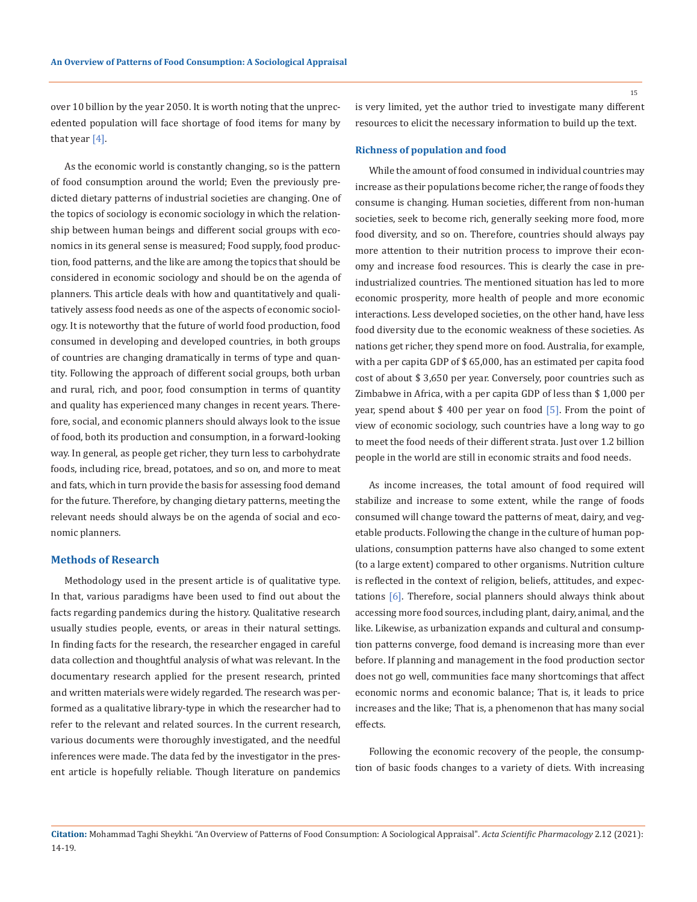15

over 10 billion by the year 2050. It is worth noting that the unprecedented population will face shortage of food items for many by that year [4].

As the economic world is constantly changing, so is the pattern of food consumption around the world; Even the previously predicted dietary patterns of industrial societies are changing. One of the topics of sociology is economic sociology in which the relationship between human beings and different social groups with economics in its general sense is measured; Food supply, food production, food patterns, and the like are among the topics that should be considered in economic sociology and should be on the agenda of planners. This article deals with how and quantitatively and qualitatively assess food needs as one of the aspects of economic sociology. It is noteworthy that the future of world food production, food consumed in developing and developed countries, in both groups of countries are changing dramatically in terms of type and quantity. Following the approach of different social groups, both urban and rural, rich, and poor, food consumption in terms of quantity and quality has experienced many changes in recent years. Therefore, social, and economic planners should always look to the issue of food, both its production and consumption, in a forward-looking way. In general, as people get richer, they turn less to carbohydrate foods, including rice, bread, potatoes, and so on, and more to meat and fats, which in turn provide the basis for assessing food demand for the future. Therefore, by changing dietary patterns, meeting the relevant needs should always be on the agenda of social and economic planners.

#### **Methods of Research**

Methodology used in the present article is of qualitative type. In that, various paradigms have been used to find out about the facts regarding pandemics during the history. Qualitative research usually studies people, events, or areas in their natural settings. In finding facts for the research, the researcher engaged in careful data collection and thoughtful analysis of what was relevant. In the documentary research applied for the present research, printed and written materials were widely regarded. The research was performed as a qualitative library-type in which the researcher had to refer to the relevant and related sources. In the current research, various documents were thoroughly investigated, and the needful inferences were made. The data fed by the investigator in the present article is hopefully reliable. Though literature on pandemics is very limited, yet the author tried to investigate many different resources to elicit the necessary information to build up the text.

#### **Richness of population and food**

While the amount of food consumed in individual countries may increase as their populations become richer, the range of foods they consume is changing. Human societies, different from non-human societies, seek to become rich, generally seeking more food, more food diversity, and so on. Therefore, countries should always pay more attention to their nutrition process to improve their economy and increase food resources. This is clearly the case in preindustrialized countries. The mentioned situation has led to more economic prosperity, more health of people and more economic interactions. Less developed societies, on the other hand, have less food diversity due to the economic weakness of these societies. As nations get richer, they spend more on food. Australia, for example, with a per capita GDP of \$ 65,000, has an estimated per capita food cost of about \$ 3,650 per year. Conversely, poor countries such as Zimbabwe in Africa, with a per capita GDP of less than \$ 1,000 per year, spend about \$ 400 per year on food [5]. From the point of view of economic sociology, such countries have a long way to go to meet the food needs of their different strata. Just over 1.2 billion people in the world are still in economic straits and food needs.

As income increases, the total amount of food required will stabilize and increase to some extent, while the range of foods consumed will change toward the patterns of meat, dairy, and vegetable products. Following the change in the culture of human populations, consumption patterns have also changed to some extent (to a large extent) compared to other organisms. Nutrition culture is reflected in the context of religion, beliefs, attitudes, and expectations [6]. Therefore, social planners should always think about accessing more food sources, including plant, dairy, animal, and the like. Likewise, as urbanization expands and cultural and consumption patterns converge, food demand is increasing more than ever before. If planning and management in the food production sector does not go well, communities face many shortcomings that affect economic norms and economic balance; That is, it leads to price increases and the like; That is, a phenomenon that has many social effects.

Following the economic recovery of the people, the consumption of basic foods changes to a variety of diets. With increasing

**Citation:** Mohammad Taghi Sheykhi*.* "An Overview of Patterns of Food Consumption: A Sociological Appraisal". *Acta Scientific Pharmacology* 2.12 (2021): 14-19.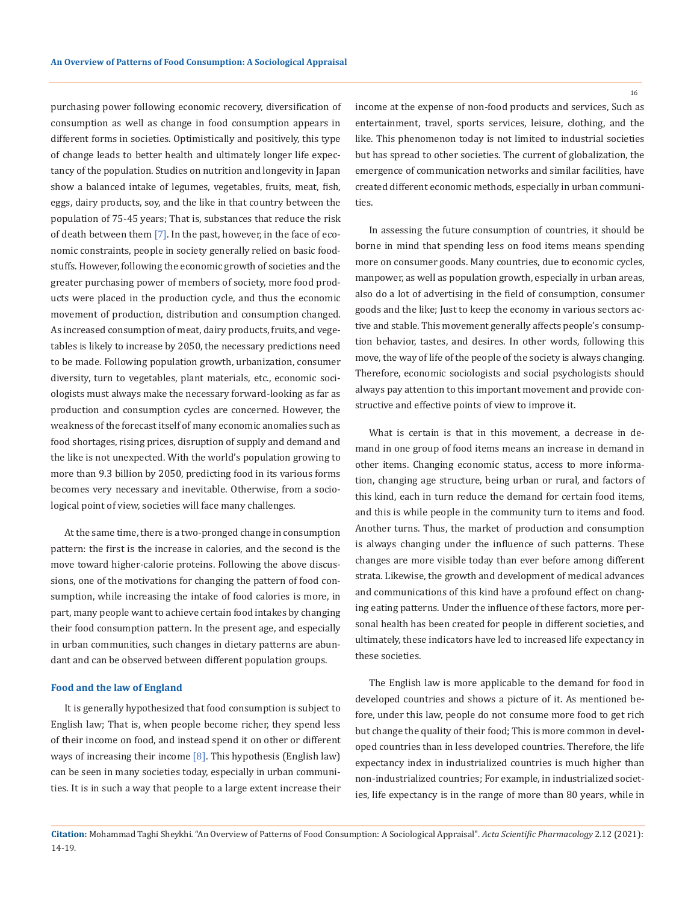purchasing power following economic recovery, diversification of consumption as well as change in food consumption appears in different forms in societies. Optimistically and positively, this type of change leads to better health and ultimately longer life expectancy of the population. Studies on nutrition and longevity in Japan show a balanced intake of legumes, vegetables, fruits, meat, fish, eggs, dairy products, soy, and the like in that country between the population of 75-45 years; That is, substances that reduce the risk of death between them [7]. In the past, however, in the face of economic constraints, people in society generally relied on basic foodstuffs. However, following the economic growth of societies and the greater purchasing power of members of society, more food products were placed in the production cycle, and thus the economic movement of production, distribution and consumption changed. As increased consumption of meat, dairy products, fruits, and vegetables is likely to increase by 2050, the necessary predictions need to be made. Following population growth, urbanization, consumer diversity, turn to vegetables, plant materials, etc., economic sociologists must always make the necessary forward-looking as far as production and consumption cycles are concerned. However, the weakness of the forecast itself of many economic anomalies such as food shortages, rising prices, disruption of supply and demand and the like is not unexpected. With the world's population growing to more than 9.3 billion by 2050, predicting food in its various forms becomes very necessary and inevitable. Otherwise, from a sociological point of view, societies will face many challenges.

At the same time, there is a two-pronged change in consumption pattern: the first is the increase in calories, and the second is the move toward higher-calorie proteins. Following the above discussions, one of the motivations for changing the pattern of food consumption, while increasing the intake of food calories is more, in part, many people want to achieve certain food intakes by changing their food consumption pattern. In the present age, and especially in urban communities, such changes in dietary patterns are abundant and can be observed between different population groups.

#### **Food and the law of England**

It is generally hypothesized that food consumption is subject to English law; That is, when people become richer, they spend less of their income on food, and instead spend it on other or different ways of increasing their income  $[8]$ . This hypothesis (English law) can be seen in many societies today, especially in urban communities. It is in such a way that people to a large extent increase their income at the expense of non-food products and services, Such as entertainment, travel, sports services, leisure, clothing, and the like. This phenomenon today is not limited to industrial societies but has spread to other societies. The current of globalization, the emergence of communication networks and similar facilities, have created different economic methods, especially in urban communities.

In assessing the future consumption of countries, it should be borne in mind that spending less on food items means spending more on consumer goods. Many countries, due to economic cycles, manpower, as well as population growth, especially in urban areas, also do a lot of advertising in the field of consumption, consumer goods and the like; Just to keep the economy in various sectors active and stable. This movement generally affects people's consumption behavior, tastes, and desires. In other words, following this move, the way of life of the people of the society is always changing. Therefore, economic sociologists and social psychologists should always pay attention to this important movement and provide constructive and effective points of view to improve it.

What is certain is that in this movement, a decrease in demand in one group of food items means an increase in demand in other items. Changing economic status, access to more information, changing age structure, being urban or rural, and factors of this kind, each in turn reduce the demand for certain food items, and this is while people in the community turn to items and food. Another turns. Thus, the market of production and consumption is always changing under the influence of such patterns. These changes are more visible today than ever before among different strata. Likewise, the growth and development of medical advances and communications of this kind have a profound effect on changing eating patterns. Under the influence of these factors, more personal health has been created for people in different societies, and ultimately, these indicators have led to increased life expectancy in these societies.

The English law is more applicable to the demand for food in developed countries and shows a picture of it. As mentioned before, under this law, people do not consume more food to get rich but change the quality of their food; This is more common in developed countries than in less developed countries. Therefore, the life expectancy index in industrialized countries is much higher than non-industrialized countries; For example, in industrialized societies, life expectancy is in the range of more than 80 years, while in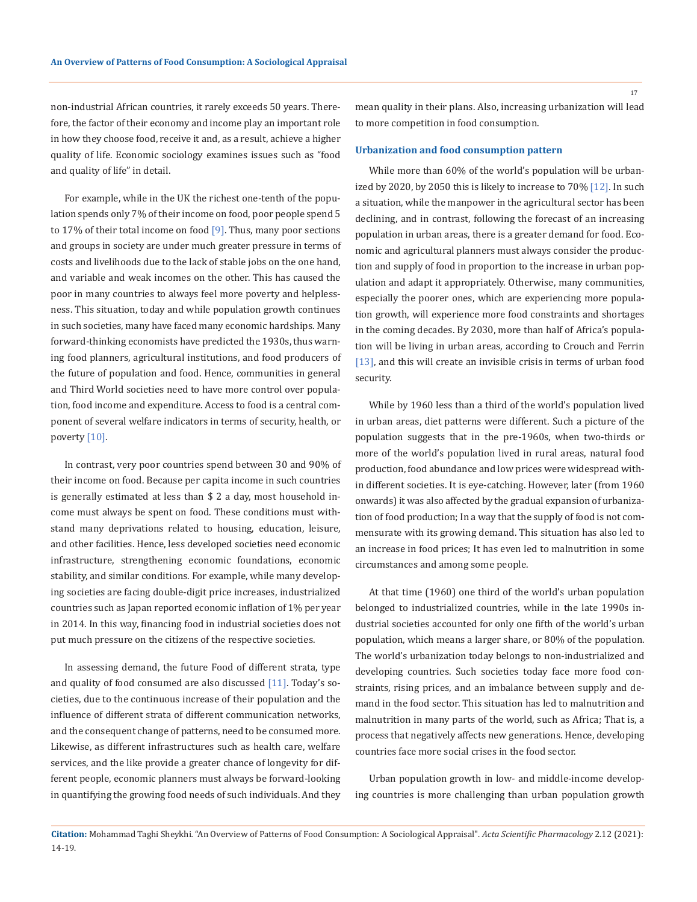non-industrial African countries, it rarely exceeds 50 years. Therefore, the factor of their economy and income play an important role in how they choose food, receive it and, as a result, achieve a higher quality of life. Economic sociology examines issues such as "food and quality of life" in detail.

For example, while in the UK the richest one-tenth of the population spends only 7% of their income on food, poor people spend 5 to 17% of their total income on food  $[9]$ . Thus, many poor sections and groups in society are under much greater pressure in terms of costs and livelihoods due to the lack of stable jobs on the one hand, and variable and weak incomes on the other. This has caused the poor in many countries to always feel more poverty and helplessness. This situation, today and while population growth continues in such societies, many have faced many economic hardships. Many forward-thinking economists have predicted the 1930s, thus warning food planners, agricultural institutions, and food producers of the future of population and food. Hence, communities in general and Third World societies need to have more control over population, food income and expenditure. Access to food is a central component of several welfare indicators in terms of security, health, or poverty [10].

In contrast, very poor countries spend between 30 and 90% of their income on food. Because per capita income in such countries is generally estimated at less than \$ 2 a day, most household income must always be spent on food. These conditions must withstand many deprivations related to housing, education, leisure, and other facilities. Hence, less developed societies need economic infrastructure, strengthening economic foundations, economic stability, and similar conditions. For example, while many developing societies are facing double-digit price increases, industrialized countries such as Japan reported economic inflation of 1% per year in 2014. In this way, financing food in industrial societies does not put much pressure on the citizens of the respective societies.

In assessing demand, the future Food of different strata, type and quality of food consumed are also discussed [11]. Today's societies, due to the continuous increase of their population and the influence of different strata of different communication networks, and the consequent change of patterns, need to be consumed more. Likewise, as different infrastructures such as health care, welfare services, and the like provide a greater chance of longevity for different people, economic planners must always be forward-looking in quantifying the growing food needs of such individuals. And they mean quality in their plans. Also, increasing urbanization will lead to more competition in food consumption.

#### **Urbanization and food consumption pattern**

While more than 60% of the world's population will be urbanized by 2020, by 2050 this is likely to increase to 70% [12]. In such a situation, while the manpower in the agricultural sector has been declining, and in contrast, following the forecast of an increasing population in urban areas, there is a greater demand for food. Economic and agricultural planners must always consider the production and supply of food in proportion to the increase in urban population and adapt it appropriately. Otherwise, many communities, especially the poorer ones, which are experiencing more population growth, will experience more food constraints and shortages in the coming decades. By 2030, more than half of Africa's population will be living in urban areas, according to Crouch and Ferrin [13], and this will create an invisible crisis in terms of urban food security.

While by 1960 less than a third of the world's population lived in urban areas, diet patterns were different. Such a picture of the population suggests that in the pre-1960s, when two-thirds or more of the world's population lived in rural areas, natural food production, food abundance and low prices were widespread within different societies. It is eye-catching. However, later (from 1960 onwards) it was also affected by the gradual expansion of urbanization of food production; In a way that the supply of food is not commensurate with its growing demand. This situation has also led to an increase in food prices; It has even led to malnutrition in some circumstances and among some people.

At that time (1960) one third of the world's urban population belonged to industrialized countries, while in the late 1990s industrial societies accounted for only one fifth of the world's urban population, which means a larger share, or 80% of the population. The world's urbanization today belongs to non-industrialized and developing countries. Such societies today face more food constraints, rising prices, and an imbalance between supply and demand in the food sector. This situation has led to malnutrition and malnutrition in many parts of the world, such as Africa; That is, a process that negatively affects new generations. Hence, developing countries face more social crises in the food sector.

Urban population growth in low- and middle-income developing countries is more challenging than urban population growth

**Citation:** Mohammad Taghi Sheykhi*.* "An Overview of Patterns of Food Consumption: A Sociological Appraisal". *Acta Scientific Pharmacology* 2.12 (2021): 14-19.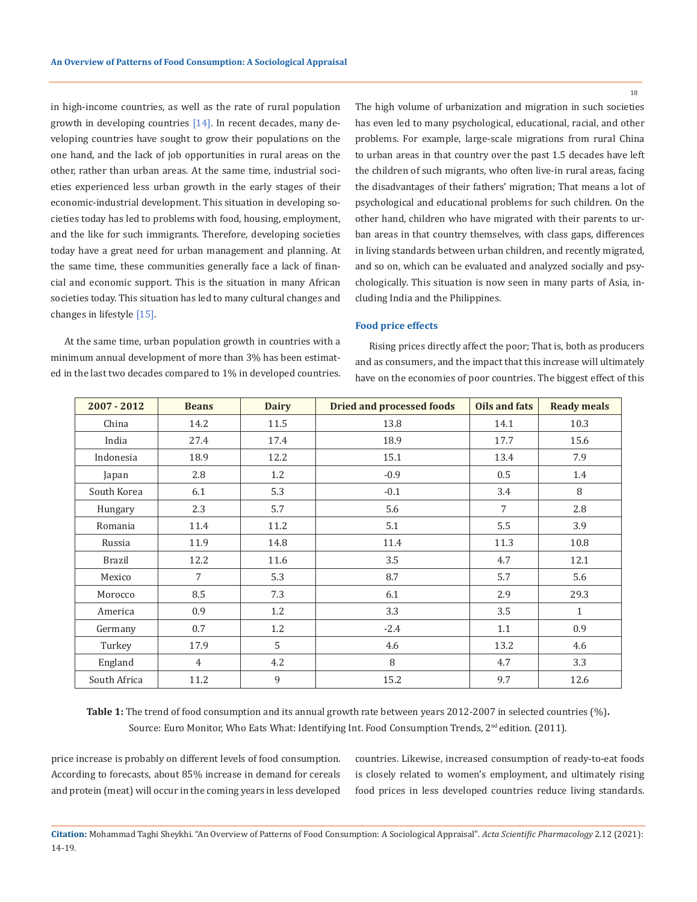in high-income countries, as well as the rate of rural population growth in developing countries [14]. In recent decades, many developing countries have sought to grow their populations on the one hand, and the lack of job opportunities in rural areas on the other, rather than urban areas. At the same time, industrial societies experienced less urban growth in the early stages of their economic-industrial development. This situation in developing societies today has led to problems with food, housing, employment, and the like for such immigrants. Therefore, developing societies today have a great need for urban management and planning. At the same time, these communities generally face a lack of financial and economic support. This is the situation in many African societies today. This situation has led to many cultural changes and changes in lifestyle [15].

At the same time, urban population growth in countries with a minimum annual development of more than 3% has been estimated in the last two decades compared to 1% in developed countries. The high volume of urbanization and migration in such societies has even led to many psychological, educational, racial, and other problems. For example, large-scale migrations from rural China to urban areas in that country over the past 1.5 decades have left the children of such migrants, who often live-in rural areas, facing the disadvantages of their fathers' migration; That means a lot of psychological and educational problems for such children. On the other hand, children who have migrated with their parents to urban areas in that country themselves, with class gaps, differences in living standards between urban children, and recently migrated, and so on, which can be evaluated and analyzed socially and psychologically. This situation is now seen in many parts of Asia, including India and the Philippines.

### **Food price effects**

Rising prices directly affect the poor; That is, both as producers and as consumers, and the impact that this increase will ultimately have on the economies of poor countries. The biggest effect of this

| $2007 - 2012$ | <b>Beans</b>   | <b>Dairy</b> | <b>Dried and processed foods</b> | Oils and fats | <b>Ready meals</b> |
|---------------|----------------|--------------|----------------------------------|---------------|--------------------|
| China         | 14.2           | 11.5         | 13.8                             | 14.1          | 10.3               |
| India         | 27.4           | 17.4         | 18.9                             | 17.7          | 15.6               |
| Indonesia     | 18.9           | 12.2         | 15.1                             | 13.4          | 7.9                |
| Japan         | 2.8            | 1.2          | $-0.9$                           | 0.5           | 1.4                |
| South Korea   | 6.1            | 5.3          | $-0.1$                           | 3.4           | 8                  |
| Hungary       | 2.3            | 5.7          | 5.6                              | 7             | 2.8                |
| Romania       | 11.4           | 11.2         | 5.1                              | 5.5           | 3.9                |
| Russia        | 11.9           | 14.8         | 11.4                             | 11.3          | 10.8               |
| <b>Brazil</b> | 12.2           | 11.6         | 3.5                              | 4.7           | 12.1               |
| Mexico        | $\overline{7}$ | 5.3          | 8.7                              | 5.7           | 5.6                |
| Morocco       | 8.5            | 7.3          | 6.1                              | 2.9           | 29.3               |
| America       | 0.9            | 1.2          | 3.3                              | 3.5           | $\mathbf{1}$       |
| Germany       | 0.7            | 1.2          | $-2.4$                           | 1.1           | 0.9                |
| Turkey        | 17.9           | 5            | 4.6                              | 13.2          | 4.6                |
| England       | $\overline{4}$ | 4.2          | 8                                | 4.7           | 3.3                |
| South Africa  | 11.2           | 9            | 15.2                             | 9.7           | 12.6               |

**Table 1:** The trend of food consumption and its annual growth rate between years 2012-2007 in selected countries (%)**.** Source: Euro Monitor, Who Eats What: Identifying Int. Food Consumption Trends, 2<sup>nd</sup> edition. (2011).

price increase is probably on different levels of food consumption. According to forecasts, about 85% increase in demand for cereals and protein (meat) will occur in the coming years in less developed countries. Likewise, increased consumption of ready-to-eat foods is closely related to women's employment, and ultimately rising food prices in less developed countries reduce living standards.

**Citation:** Mohammad Taghi Sheykhi*.* "An Overview of Patterns of Food Consumption: A Sociological Appraisal". *Acta Scientific Pharmacology* 2.12 (2021): 14-19.